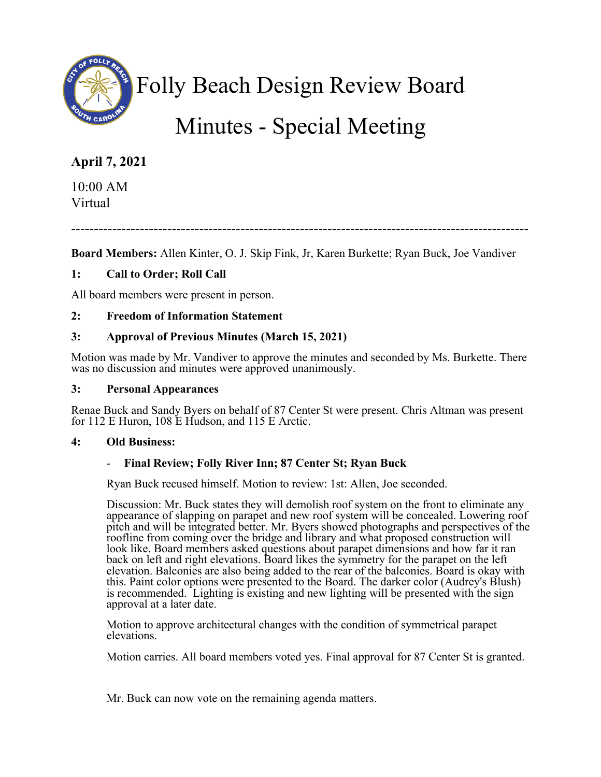

Folly Beach Design Review Board

# Minutes - Special Meeting

## **April 7, 2021**

10:00 AM Virtual

----------------------------------------------------------------------------------------------------

**Board Members:** Allen Kinter, O. J. Skip Fink, Jr, Karen Burkette; Ryan Buck, Joe Vandiver

## **1: Call to Order; Roll Call**

All board members were present in person.

## **2: Freedom of Information Statement**

## **3: Approval of Previous Minutes (March 15, 2021)**

Motion was made by Mr. Vandiver to approve the minutes and seconded by Ms. Burkette. There was no discussion and minutes were approved unanimously.

#### **3: Personal Appearances**

Renae Buck and Sandy Byers on behalf of 87 Center St were present. Chris Altman was present for 112 E Huron, 108 E Hudson, and 115 E Arctic.

#### **4: Old Business:**

#### - **Final Review; Folly River Inn; 87 Center St; Ryan Buck**

Ryan Buck recused himself. Motion to review: 1st: Allen, Joe seconded.

Discussion: Mr. Buck states they will demolish roof system on the front to eliminate any appearance of slapping on parapet and new roof system will be concealed. Lowering roof pitch and will be integrated better. Mr. Byers showed photographs and perspectives of the roofline from coming over the bridge and library and what proposed construction will look like. Board members asked questions about parapet dimensions and how far it ran back on left and right elevations. Board likes the symmetry for the parapet on the left elevation. Balconies are also being added to the rear of the balconies. Board is okay with this. Paint color options were presented to the Board. The darker color (Audrey's Blush) is recommended. Lighting is existing and new lighting will be presented with the sign approval at a later date.

Motion to approve architectural changes with the condition of symmetrical parapet elevations.

Motion carries. All board members voted yes. Final approval for 87 Center St is granted.

Mr. Buck can now vote on the remaining agenda matters.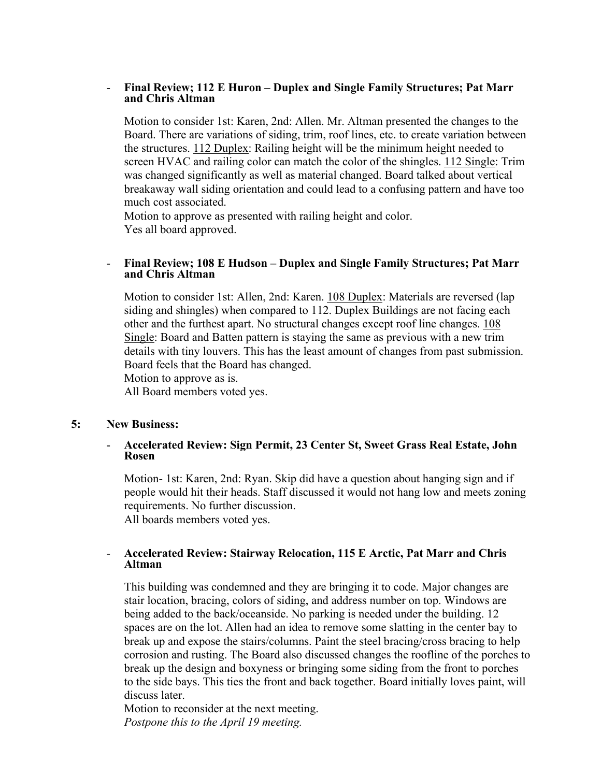#### - **Final Review; 112 E Huron – Duplex and Single Family Structures; Pat Marr and Chris Altman**

Motion to consider 1st: Karen, 2nd: Allen. Mr. Altman presented the changes to the Board. There are variations of siding, trim, roof lines, etc. to create variation between the structures. 112 Duplex: Railing height will be the minimum height needed to screen HVAC and railing color can match the color of the shingles. 112 Single: Trim was changed significantly as well as material changed. Board talked about vertical breakaway wall siding orientation and could lead to a confusing pattern and have too much cost associated.

Motion to approve as presented with railing height and color. Yes all board approved.

#### - **Final Review; 108 E Hudson – Duplex and Single Family Structures; Pat Marr and Chris Altman**

Motion to consider 1st: Allen, 2nd: Karen. 108 Duplex: Materials are reversed (lap siding and shingles) when compared to 112. Duplex Buildings are not facing each other and the furthest apart. No structural changes except roof line changes. 108 Single: Board and Batten pattern is staying the same as previous with a new trim details with tiny louvers. This has the least amount of changes from past submission. Board feels that the Board has changed.

Motion to approve as is.

All Board members voted yes.

#### **5: New Business:**

#### - **Accelerated Review: Sign Permit, 23 Center St, Sweet Grass Real Estate, John Rosen**

Motion- 1st: Karen, 2nd: Ryan. Skip did have a question about hanging sign and if people would hit their heads. Staff discussed it would not hang low and meets zoning requirements. No further discussion. All boards members voted yes.

#### - **Accelerated Review: Stairway Relocation, 115 E Arctic, Pat Marr and Chris Altman**

This building was condemned and they are bringing it to code. Major changes are stair location, bracing, colors of siding, and address number on top. Windows are being added to the back/oceanside. No parking is needed under the building. 12 spaces are on the lot. Allen had an idea to remove some slatting in the center bay to break up and expose the stairs/columns. Paint the steel bracing/cross bracing to help corrosion and rusting. The Board also discussed changes the roofline of the porches to break up the design and boxyness or bringing some siding from the front to porches to the side bays. This ties the front and back together. Board initially loves paint, will discuss later.

Motion to reconsider at the next meeting. *Postpone this to the April 19 meeting.*